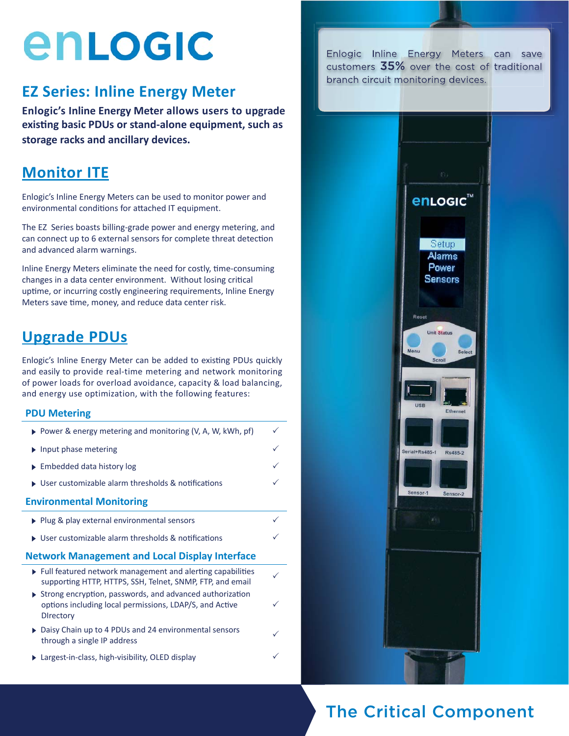# enLogic

#### **EZ Series: Inline Energy Meter**

**Enlogic's Inline Energy Meter allows users to upgrade exisƟ ng basic PDUs or stand-alone equipment, such as storage racks and ancillary devices.** 

#### **Monitor ITE**

Enlogic's Inline Energy Meters can be used to monitor power and environmental conditions for attached IT equipment.

The EZ Series boasts billing-grade power and energy metering, and can connect up to 6 external sensors for complete threat detection and advanced alarm warnings.

Inline Energy Meters eliminate the need for costly, time-consuming changes in a data center environment. Without losing critical uptime, or incurring costly engineering requirements, Inline Energy Meters save time, money, and reduce data center risk.

### **Upgrade PDUs**

Enlogic's Inline Energy Meter can be added to existing PDUs quickly and easily to provide real-time metering and network monitoring of power loads for overload avoidance, capacity & load balancing, and energy use optimization, with the following features:

#### **PDU Metering**

| ▶ Power & energy metering and monitoring (V, A, W, kWh, pf)                                                                                              | ✓ |
|----------------------------------------------------------------------------------------------------------------------------------------------------------|---|
| $\triangleright$ Input phase metering                                                                                                                    |   |
| $\triangleright$ Embedded data history log                                                                                                               |   |
| $\triangleright$ User customizable alarm thresholds & notifications                                                                                      |   |
| <b>Environmental Monitoring</b>                                                                                                                          |   |
| ▶ Plug & play external environmental sensors                                                                                                             |   |
| $\triangleright$ User customizable alarm thresholds & notifications                                                                                      |   |
| <b>Network Management and Local Display Interface</b>                                                                                                    |   |
| ▶ Full featured network management and alerting capabilities<br>supporting HTTP, HTTPS, SSH, Telnet, SNMP, FTP, and email                                | ∕ |
| $\triangleright$ Strong encryption, passwords, and advanced authorization<br>options including local permissions, LDAP/S, and Active<br><b>Directory</b> |   |
| ▶ Daisy Chain up to 4 PDUs and 24 environmental sensors<br>through a single IP address                                                                   |   |
| Largest-in-class, high-visibility, OLED display                                                                                                          |   |

Enlogic Inline Energy Meters can save customers 35% over the cost of traditional branch circuit monitoring devices.



### The Critical Component